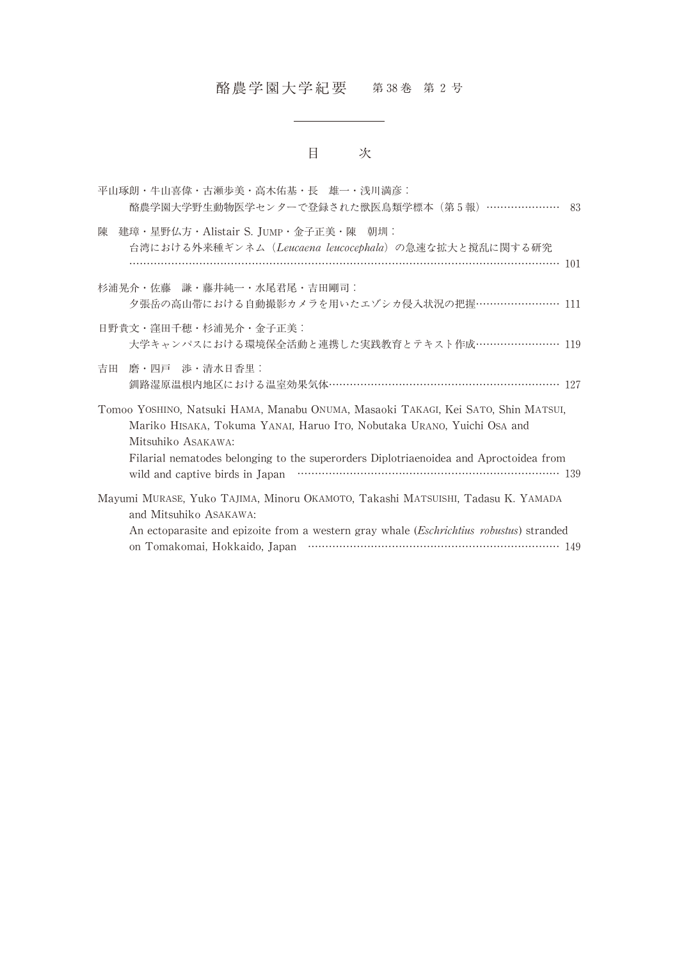## 酪農学園大学紀要 第 38巻 第 2 号

## 目 次

|   | 平山琢朗・牛山喜偉・古瀬歩美・高木佑基・長 雄一・浅川満彦:<br>酪農学園大学野生動物医学センターで登録された獣医鳥類学標本 (第5報) ………………… 83                                                                                                                                                                                           |
|---|----------------------------------------------------------------------------------------------------------------------------------------------------------------------------------------------------------------------------------------------------------------------------|
| 陳 | 建璋・星野仏方・Alistair S. JUMP・金子正美・陳 朝圳:<br>台湾における外来種ギンネム(Leucaena leucocephala)の急速な拡大と撹乱に関する研究                                                                                                                                                                                 |
|   | 杉浦晃介・佐藤 謙・藤井純一・水尾君尾・吉田剛司:<br>夕張岳の高山帯における自動撮影カメラを用いたエゾシカ侵入状況の把握…………………… 111                                                                                                                                                                                                 |
|   | 日野貴文・窪田千穂・杉浦晃介・金子正美:<br>大学キャンパスにおける環境保全活動と連携した実践教育とテキスト作成…………………… 119                                                                                                                                                                                                      |
|   | 吉田 磨・四戸 渉・清水日香里:<br>釧路湿原温根内地区における温室効果気体………………………………………………………… 127                                                                                                                                                                                                          |
|   | Tomoo YOSHINO, Natsuki HAMA, Manabu ONUMA, Masaoki TAKAGI, Kei SATO, Shin MATSUI,<br>Mariko HISAKA, Tokuma YANAI, Haruo ITO, Nobutaka URANO, Yuichi OSA and<br>Mitsuhiko ASAKAWA:<br>Filarial nematodes belonging to the superorders Diplotriaenoidea and Aproctoidea from |
|   | Mayumi MURASE, Yuko TAJIMA, Minoru OKAMOTO, Takashi MATSUISHI, Tadasu K. YAMADA<br>and Mitsuhiko ASAKAWA:<br>An ectoparasite and epizoite from a western gray whale ( <i>Eschrichtius robustus</i> ) stranded                                                              |